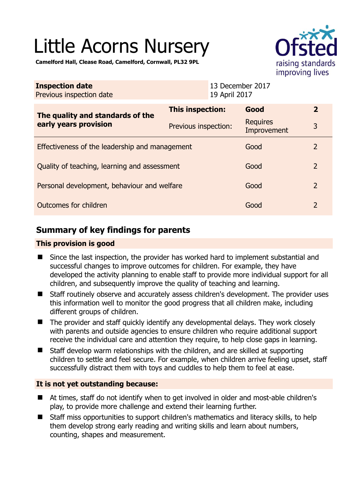# Little Acorns Nursery

**Camelford Hall, Clease Road, Camelford, Cornwall, PL32 9PL** 

|                                                           |                      |                                   | <b>IIIIDIOVING IIVES</b>       |                |
|-----------------------------------------------------------|----------------------|-----------------------------------|--------------------------------|----------------|
| <b>Inspection date</b><br>Previous inspection date        |                      | 13 December 2017<br>19 April 2017 |                                |                |
| The quality and standards of the<br>early years provision | This inspection:     |                                   | Good                           | $\overline{2}$ |
|                                                           | Previous inspection: |                                   | <b>Requires</b><br>Improvement | 3              |
| Effectiveness of the leadership and management            |                      |                                   | Good                           | $\overline{2}$ |
| Quality of teaching, learning and assessment              |                      |                                   | Good                           | $\overline{2}$ |
| Personal development, behaviour and welfare               |                      |                                   | Good                           | $\overline{2}$ |
| Outcomes for children                                     |                      |                                   | Good                           | $\overline{2}$ |

# **Summary of key findings for parents**

## **This provision is good**

- Since the last inspection, the provider has worked hard to implement substantial and successful changes to improve outcomes for children. For example, they have developed the activity planning to enable staff to provide more individual support for all children, and subsequently improve the quality of teaching and learning.
- Staff routinely observe and accurately assess children's development. The provider uses this information well to monitor the good progress that all children make, including different groups of children.
- The provider and staff quickly identify any developmental delays. They work closely with parents and outside agencies to ensure children who require additional support receive the individual care and attention they require, to help close gaps in learning.
- $\blacksquare$  Staff develop warm relationships with the children, and are skilled at supporting children to settle and feel secure. For example, when children arrive feeling upset, staff successfully distract them with toys and cuddles to help them to feel at ease.

## **It is not yet outstanding because:**

- At times, staff do not identify when to get involved in older and most-able children's play, to provide more challenge and extend their learning further.
- Staff miss opportunities to support children's mathematics and literacy skills, to help them develop strong early reading and writing skills and learn about numbers, counting, shapes and measurement.

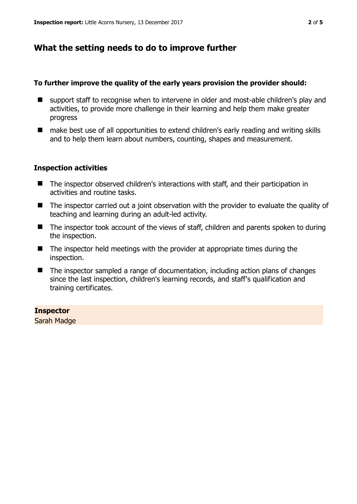# **What the setting needs to do to improve further**

#### **To further improve the quality of the early years provision the provider should:**

- support staff to recognise when to intervene in older and most-able children's play and activities, to provide more challenge in their learning and help them make greater progress
- make best use of all opportunities to extend children's early reading and writing skills and to help them learn about numbers, counting, shapes and measurement.

## **Inspection activities**

- The inspector observed children's interactions with staff, and their participation in activities and routine tasks.
- The inspector carried out a joint observation with the provider to evaluate the quality of teaching and learning during an adult-led activity.
- The inspector took account of the views of staff, children and parents spoken to during the inspection.
- $\blacksquare$  The inspector held meetings with the provider at appropriate times during the inspection.
- The inspector sampled a range of documentation, including action plans of changes since the last inspection, children's learning records, and staff's qualification and training certificates.

## **Inspector**

Sarah Madge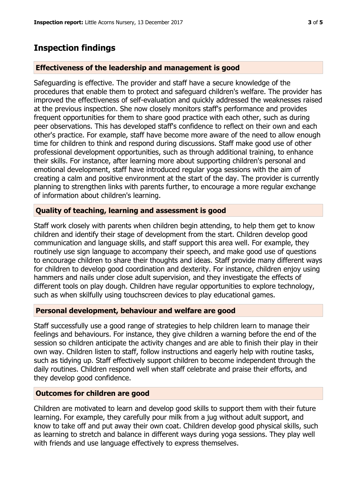## **Inspection findings**

#### **Effectiveness of the leadership and management is good**

Safeguarding is effective. The provider and staff have a secure knowledge of the procedures that enable them to protect and safeguard children's welfare. The provider has improved the effectiveness of self-evaluation and quickly addressed the weaknesses raised at the previous inspection. She now closely monitors staff's performance and provides frequent opportunities for them to share good practice with each other, such as during peer observations. This has developed staff's confidence to reflect on their own and each other's practice. For example, staff have become more aware of the need to allow enough time for children to think and respond during discussions. Staff make good use of other professional development opportunities, such as through additional training, to enhance their skills. For instance, after learning more about supporting children's personal and emotional development, staff have introduced regular yoga sessions with the aim of creating a calm and positive environment at the start of the day. The provider is currently planning to strengthen links with parents further, to encourage a more regular exchange of information about children's learning.

#### **Quality of teaching, learning and assessment is good**

Staff work closely with parents when children begin attending, to help them get to know children and identify their stage of development from the start. Children develop good communication and language skills, and staff support this area well. For example, they routinely use sign language to accompany their speech, and make good use of questions to encourage children to share their thoughts and ideas. Staff provide many different ways for children to develop good coordination and dexterity. For instance, children enjoy using hammers and nails under close adult supervision, and they investigate the effects of different tools on play dough. Children have regular opportunities to explore technology, such as when skilfully using touchscreen devices to play educational games.

#### **Personal development, behaviour and welfare are good**

Staff successfully use a good range of strategies to help children learn to manage their feelings and behaviours. For instance, they give children a warning before the end of the session so children anticipate the activity changes and are able to finish their play in their own way. Children listen to staff, follow instructions and eagerly help with routine tasks, such as tidying up. Staff effectively support children to become independent through the daily routines. Children respond well when staff celebrate and praise their efforts, and they develop good confidence.

#### **Outcomes for children are good**

Children are motivated to learn and develop good skills to support them with their future learning. For example, they carefully pour milk from a jug without adult support, and know to take off and put away their own coat. Children develop good physical skills, such as learning to stretch and balance in different ways during yoga sessions. They play well with friends and use language effectively to express themselves.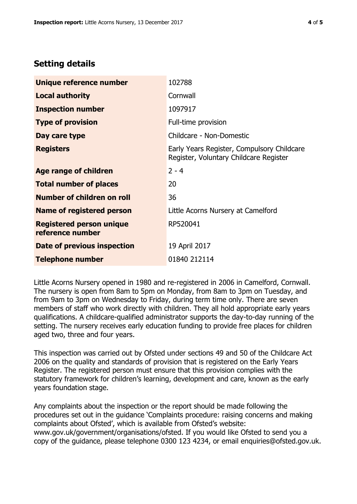# **Setting details**

| Unique reference number                             | 102788                                                                               |  |
|-----------------------------------------------------|--------------------------------------------------------------------------------------|--|
| <b>Local authority</b>                              | Cornwall                                                                             |  |
| <b>Inspection number</b>                            | 1097917                                                                              |  |
| <b>Type of provision</b>                            | Full-time provision                                                                  |  |
| Day care type                                       | Childcare - Non-Domestic                                                             |  |
| <b>Registers</b>                                    | Early Years Register, Compulsory Childcare<br>Register, Voluntary Childcare Register |  |
| <b>Age range of children</b>                        | $2 - 4$                                                                              |  |
| <b>Total number of places</b>                       | 20                                                                                   |  |
| Number of children on roll                          | 36                                                                                   |  |
| Name of registered person                           | Little Acorns Nursery at Camelford                                                   |  |
| <b>Registered person unique</b><br>reference number | RP520041                                                                             |  |
| Date of previous inspection                         | 19 April 2017                                                                        |  |
| <b>Telephone number</b>                             | 01840 212114                                                                         |  |

Little Acorns Nursery opened in 1980 and re-registered in 2006 in Camelford, Cornwall. The nursery is open from 8am to 5pm on Monday, from 8am to 3pm on Tuesday, and from 9am to 3pm on Wednesday to Friday, during term time only. There are seven members of staff who work directly with children. They all hold appropriate early years qualifications. A childcare-qualified administrator supports the day-to-day running of the setting. The nursery receives early education funding to provide free places for children aged two, three and four years.

This inspection was carried out by Ofsted under sections 49 and 50 of the Childcare Act 2006 on the quality and standards of provision that is registered on the Early Years Register. The registered person must ensure that this provision complies with the statutory framework for children's learning, development and care, known as the early years foundation stage.

Any complaints about the inspection or the report should be made following the procedures set out in the guidance 'Complaints procedure: raising concerns and making complaints about Ofsted', which is available from Ofsted's website: www.gov.uk/government/organisations/ofsted. If you would like Ofsted to send you a copy of the guidance, please telephone 0300 123 4234, or email enquiries@ofsted.gov.uk.